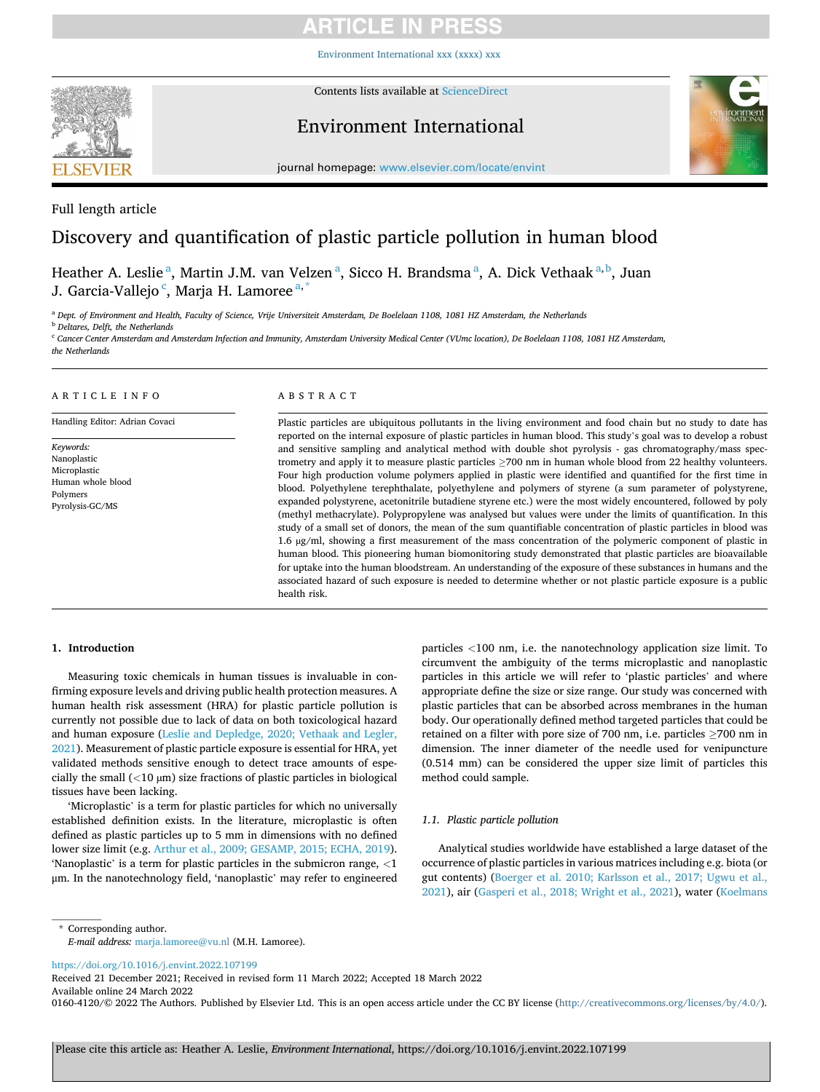# RTICI E IN PRES

[Environment International xxx \(xxxx\) xxx](https://doi.org/10.1016/j.envint.2022.107199)



Contents lists available at [ScienceDirect](www.sciencedirect.com/science/journal/01604120)

## Environment International



journal homepage: [www.elsevier.com/locate/envint](https://www.elsevier.com/locate/envint)

## Full length article

## Discovery and quantification of plastic particle pollution in human blood

Heather A. Leslie<sup>a</sup>, Martin J.M. van Velzen<sup>a</sup>, Sicco H. Brandsma<sup>a</sup>, A. Dick Vethaak<sup>a,b</sup>, Juan J. Garcia-Vallejo <sup>c</sup>, Marja H. Lamoree <sup>a,\*</sup>

<sup>a</sup> *Dept. of Environment and Health, Faculty of Science, Vrije Universiteit Amsterdam, De Boelelaan 1108, 1081 HZ Amsterdam, the Netherlands* 

<sup>b</sup> *Deltares, Delft, the Netherlands* 

<sup>c</sup> *Cancer Center Amsterdam and Amsterdam Infection and Immunity, Amsterdam University Medical Center (VUmc location), De Boelelaan 1108, 1081 HZ Amsterdam, the Netherlands* 

## ARTICLE INFO

Handling Editor: Adrian Covaci

*Keywords:*  Nanoplastic Microplastic Human whole blood Polymers Pyrolysis-GC/MS

## ABSTRACT

Plastic particles are ubiquitous pollutants in the living environment and food chain but no study to date has reported on the internal exposure of plastic particles in human blood. This study's goal was to develop a robust and sensitive sampling and analytical method with double shot pyrolysis - gas chromatography/mass spectrometry and apply it to measure plastic particles ≥700 nm in human whole blood from 22 healthy volunteers. Four high production volume polymers applied in plastic were identified and quantified for the first time in blood. Polyethylene terephthalate, polyethylene and polymers of styrene (a sum parameter of polystyrene, expanded polystyrene, acetonitrile butadiene styrene etc.) were the most widely encountered, followed by poly (methyl methacrylate). Polypropylene was analysed but values were under the limits of quantification. In this study of a small set of donors, the mean of the sum quantifiable concentration of plastic particles in blood was 1.6 µg/ml, showing a first measurement of the mass concentration of the polymeric component of plastic in human blood. This pioneering human biomonitoring study demonstrated that plastic particles are bioavailable for uptake into the human bloodstream. An understanding of the exposure of these substances in humans and the associated hazard of such exposure is needed to determine whether or not plastic particle exposure is a public health risk.

## **1. Introduction**

Measuring toxic chemicals in human tissues is invaluable in confirming exposure levels and driving public health protection measures. A human health risk assessment (HRA) for plastic particle pollution is currently not possible due to lack of data on both toxicological hazard and human exposure ([Leslie and Depledge, 2020; Vethaak and Legler,](#page-7-0)  [2021\)](#page-7-0). Measurement of plastic particle exposure is essential for HRA, yet validated methods sensitive enough to detect trace amounts of especially the small (*<*10 µm) size fractions of plastic particles in biological tissues have been lacking.

'Microplastic' is a term for plastic particles for which no universally established definition exists. In the literature, microplastic is often defined as plastic particles up to 5 mm in dimensions with no defined lower size limit (e.g. [Arthur et al., 2009; GESAMP, 2015; ECHA, 2019](#page-6-0)). 'Nanoplastic' is a term for plastic particles in the submicron range, *<*1 μm. In the nanotechnology field, 'nanoplastic' may refer to engineered particles *<*100 nm, i.e. the nanotechnology application size limit. To circumvent the ambiguity of the terms microplastic and nanoplastic particles in this article we will refer to 'plastic particles' and where appropriate define the size or size range. Our study was concerned with plastic particles that can be absorbed across membranes in the human body. Our operationally defined method targeted particles that could be retained on a filter with pore size of 700 nm, i.e. particles ≥700 nm in dimension. The inner diameter of the needle used for venipuncture (0.514 mm) can be considered the upper size limit of particles this method could sample.

## *1.1. Plastic particle pollution*

Analytical studies worldwide have established a large dataset of the occurrence of plastic particles in various matrices including e.g. biota (or gut contents) ([Boerger et al. 2010; Karlsson et al., 2017; Ugwu et al.,](#page-6-0)  [2021\)](#page-6-0), air ([Gasperi et al., 2018; Wright et al., 2021\)](#page-6-0), water [\(Koelmans](#page-7-0) 

\* Corresponding author. *E-mail address:* [marja.lamoree@vu.nl](mailto:marja.lamoree@vu.nl) (M.H. Lamoree).

<https://doi.org/10.1016/j.envint.2022.107199>

Available online 24 March 2022 Received 21 December 2021; Received in revised form 11 March 2022; Accepted 18 March 2022

0160-4120/© 2022 The Authors. Published by Elsevier Ltd. This is an open access article under the CC BY license [\(http://creativecommons.org/licenses/by/4.0/\)](http://creativecommons.org/licenses/by/4.0/).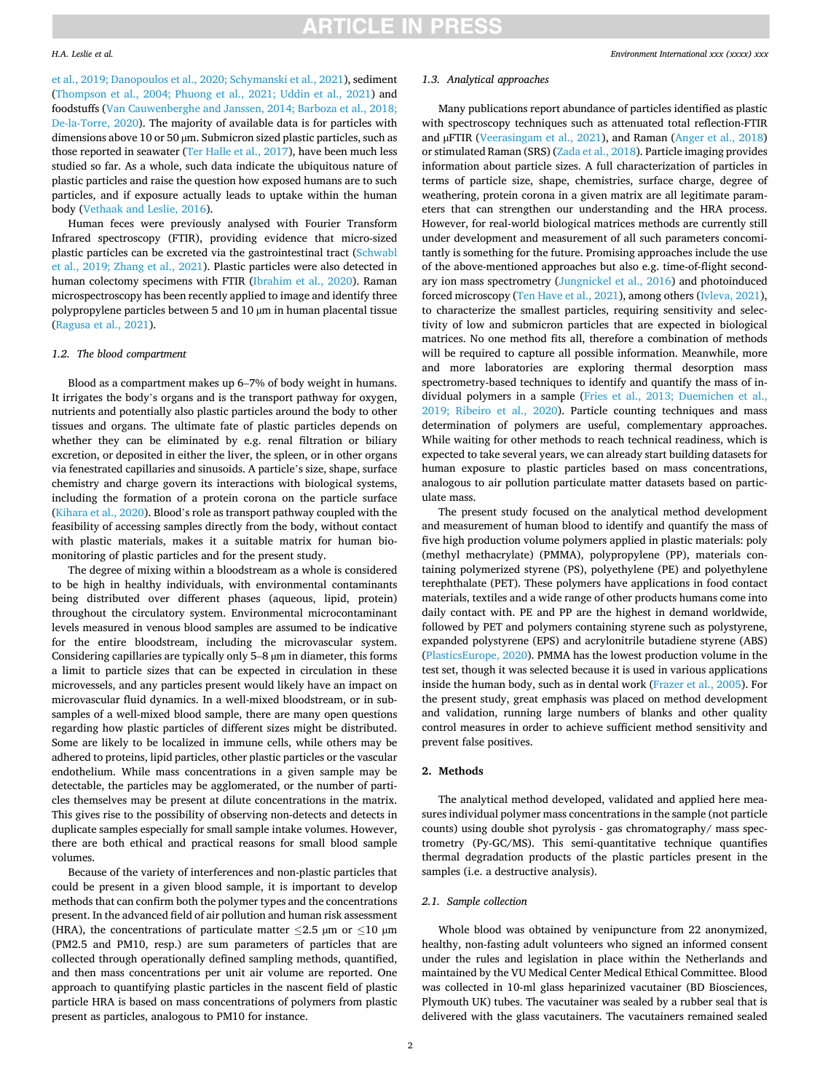#### *H.A. Leslie et al.*

[et al., 2019; Danopoulos et al., 2020; Schymanski et al., 2021\)](#page-7-0), sediment ([Thompson et al., 2004; Phuong et al., 2021; Uddin et al., 2021\)](#page-7-0) and foodstuffs [\(Van Cauwenberghe and Janssen, 2014; Barboza et al., 2018;](#page-7-0)  [De-la-Torre, 2020\)](#page-7-0). The majority of available data is for particles with dimensions above 10 or 50 µm. Submicron sized plastic particles, such as those reported in seawater ([Ter Halle et al., 2017\)](#page-7-0), have been much less studied so far. As a whole, such data indicate the ubiquitous nature of plastic particles and raise the question how exposed humans are to such particles, and if exposure actually leads to uptake within the human body [\(Vethaak and Leslie, 2016\)](#page-7-0).

Human feces were previously analysed with Fourier Transform Infrared spectroscopy (FTIR), providing evidence that micro-sized plastic particles can be excreted via the gastrointestinal tract [\(Schwabl](#page-7-0)  [et al., 2019; Zhang et al., 2021\)](#page-7-0). Plastic particles were also detected in human colectomy specimens with FTIR [\(Ibrahim et al., 2020](#page-6-0)). Raman microspectroscopy has been recently applied to image and identify three polypropylene particles between 5 and 10 µm in human placental tissue ([Ragusa et al., 2021](#page-7-0)).

## *1.2. The blood compartment*

Blood as a compartment makes up 6–7% of body weight in humans. It irrigates the body's organs and is the transport pathway for oxygen, nutrients and potentially also plastic particles around the body to other tissues and organs. The ultimate fate of plastic particles depends on whether they can be eliminated by e.g. renal filtration or biliary excretion, or deposited in either the liver, the spleen, or in other organs via fenestrated capillaries and sinusoids. A particle's size, shape, surface chemistry and charge govern its interactions with biological systems, including the formation of a protein corona on the particle surface ([Kihara et al., 2020\)](#page-7-0). Blood's role as transport pathway coupled with the feasibility of accessing samples directly from the body, without contact with plastic materials, makes it a suitable matrix for human biomonitoring of plastic particles and for the present study.

The degree of mixing within a bloodstream as a whole is considered to be high in healthy individuals, with environmental contaminants being distributed over different phases (aqueous, lipid, protein) throughout the circulatory system. Environmental microcontaminant levels measured in venous blood samples are assumed to be indicative for the entire bloodstream, including the microvascular system. Considering capillaries are typically only 5–8 µm in diameter, this forms a limit to particle sizes that can be expected in circulation in these microvessels, and any particles present would likely have an impact on microvascular fluid dynamics. In a well-mixed bloodstream, or in subsamples of a well-mixed blood sample, there are many open questions regarding how plastic particles of different sizes might be distributed. Some are likely to be localized in immune cells, while others may be adhered to proteins, lipid particles, other plastic particles or the vascular endothelium. While mass concentrations in a given sample may be detectable, the particles may be agglomerated, or the number of particles themselves may be present at dilute concentrations in the matrix. This gives rise to the possibility of observing non-detects and detects in duplicate samples especially for small sample intake volumes. However, there are both ethical and practical reasons for small blood sample volumes.

Because of the variety of interferences and non-plastic particles that could be present in a given blood sample, it is important to develop methods that can confirm both the polymer types and the concentrations present. In the advanced field of air pollution and human risk assessment (HRA), the concentrations of particulate matter  $\leq$ 2.5 µm or  $\leq$ 10 µm (PM2.5 and PM10, resp.) are sum parameters of particles that are collected through operationally defined sampling methods, quantified, and then mass concentrations per unit air volume are reported. One approach to quantifying plastic particles in the nascent field of plastic particle HRA is based on mass concentrations of polymers from plastic present as particles, analogous to PM10 for instance.

## *1.3. Analytical approaches*

Many publications report abundance of particles identified as plastic with spectroscopy techniques such as attenuated total reflection-FTIR and µFTIR ([Veerasingam et al., 2021](#page-7-0)), and Raman ([Anger et al., 2018\)](#page-6-0) or stimulated Raman (SRS) ([Zada et al., 2018](#page-7-0)). Particle imaging provides information about particle sizes. A full characterization of particles in terms of particle size, shape, chemistries, surface charge, degree of weathering, protein corona in a given matrix are all legitimate parameters that can strengthen our understanding and the HRA process. However, for real-world biological matrices methods are currently still under development and measurement of all such parameters concomitantly is something for the future. Promising approaches include the use of the above-mentioned approaches but also e.g. time-of-flight secondary ion mass spectrometry [\(Jungnickel et al., 2016\)](#page-6-0) and photoinduced forced microscopy ([Ten Have et al., 2021\)](#page-7-0), among others [\(Ivleva, 2021](#page-6-0)), to characterize the smallest particles, requiring sensitivity and selectivity of low and submicron particles that are expected in biological matrices. No one method fits all, therefore a combination of methods will be required to capture all possible information. Meanwhile, more and more laboratories are exploring thermal desorption mass spectrometry-based techniques to identify and quantify the mass of individual polymers in a sample [\(Fries et al., 2013; Duemichen et al.,](#page-6-0)  [2019; Ribeiro et al., 2020](#page-6-0)). Particle counting techniques and mass determination of polymers are useful, complementary approaches. While waiting for other methods to reach technical readiness, which is expected to take several years, we can already start building datasets for human exposure to plastic particles based on mass concentrations, analogous to air pollution particulate matter datasets based on particulate mass.

The present study focused on the analytical method development and measurement of human blood to identify and quantify the mass of five high production volume polymers applied in plastic materials: poly (methyl methacrylate) (PMMA), polypropylene (PP), materials containing polymerized styrene (PS), polyethylene (PE) and polyethylene terephthalate (PET). These polymers have applications in food contact materials, textiles and a wide range of other products humans come into daily contact with. PE and PP are the highest in demand worldwide, followed by PET and polymers containing styrene such as polystyrene, expanded polystyrene (EPS) and acrylonitrile butadiene styrene (ABS) ([PlasticsEurope, 2020](#page-7-0)). PMMA has the lowest production volume in the test set, though it was selected because it is used in various applications inside the human body, such as in dental work ([Frazer et al., 2005\)](#page-6-0). For the present study, great emphasis was placed on method development and validation, running large numbers of blanks and other quality control measures in order to achieve sufficient method sensitivity and prevent false positives.

## **2. Methods**

The analytical method developed, validated and applied here measures individual polymer mass concentrations in the sample (not particle counts) using double shot pyrolysis - gas chromatography/ mass spectrometry (Py-GC/MS). This semi-quantitative technique quantifies thermal degradation products of the plastic particles present in the samples (i.e. a destructive analysis).

#### *2.1. Sample collection*

Whole blood was obtained by venipuncture from 22 anonymized, healthy, non-fasting adult volunteers who signed an informed consent under the rules and legislation in place within the Netherlands and maintained by the VU Medical Center Medical Ethical Committee. Blood was collected in 10-ml glass heparinized vacutainer (BD Biosciences, Plymouth UK) tubes. The vacutainer was sealed by a rubber seal that is delivered with the glass vacutainers. The vacutainers remained sealed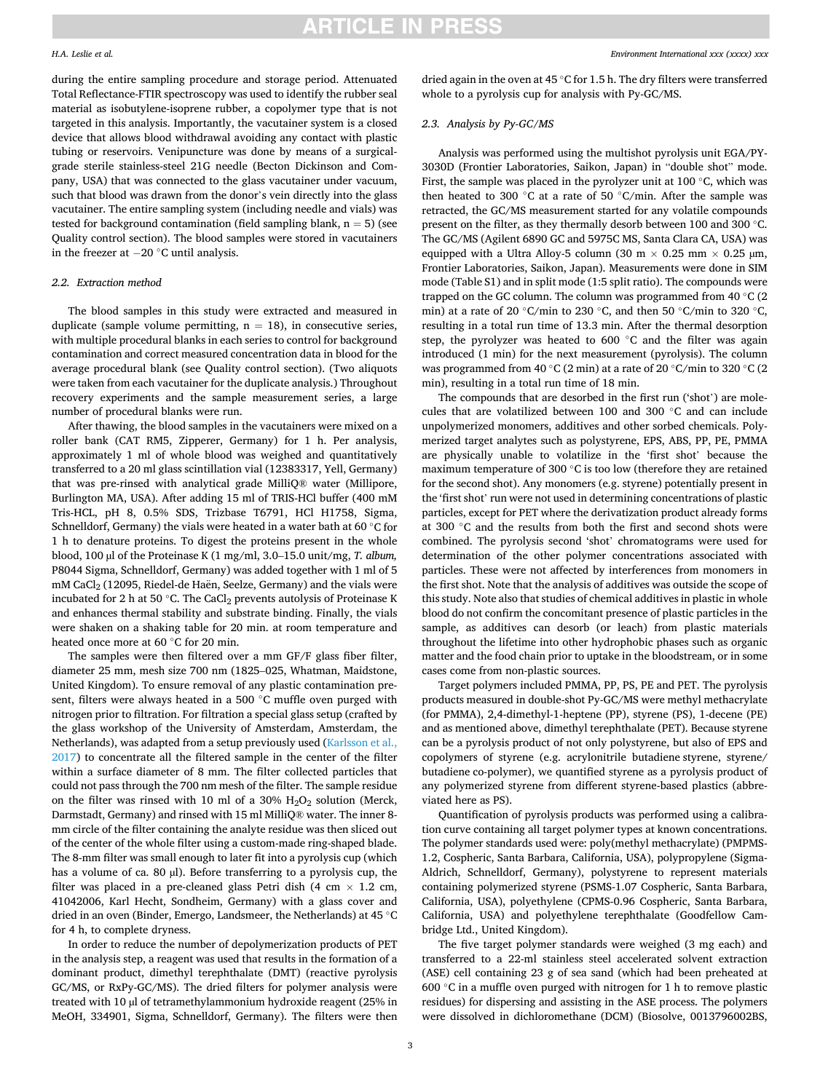#### *H.A. Leslie et al.*

during the entire sampling procedure and storage period. Attenuated Total Reflectance-FTIR spectroscopy was used to identify the rubber seal material as isobutylene-isoprene rubber, a copolymer type that is not targeted in this analysis. Importantly, the vacutainer system is a closed device that allows blood withdrawal avoiding any contact with plastic tubing or reservoirs. Venipuncture was done by means of a surgicalgrade sterile stainless-steel 21G needle (Becton Dickinson and Company, USA) that was connected to the glass vacutainer under vacuum, such that blood was drawn from the donor's vein directly into the glass vacutainer. The entire sampling system (including needle and vials) was tested for background contamination (field sampling blank,  $n = 5$ ) (see Quality control section). The blood samples were stored in vacutainers in the freezer at − 20 ◦C until analysis.

#### *2.2. Extraction method*

The blood samples in this study were extracted and measured in duplicate (sample volume permitting,  $n = 18$ ), in consecutive series, with multiple procedural blanks in each series to control for background contamination and correct measured concentration data in blood for the average procedural blank (see Quality control section). (Two aliquots were taken from each vacutainer for the duplicate analysis.) Throughout recovery experiments and the sample measurement series, a large number of procedural blanks were run.

After thawing, the blood samples in the vacutainers were mixed on a roller bank (CAT RM5, Zipperer, Germany) for 1 h. Per analysis, approximately 1 ml of whole blood was weighed and quantitatively transferred to a 20 ml glass scintillation vial (12383317, Yell, Germany) that was pre-rinsed with analytical grade MilliQ® water (Millipore, Burlington MA, USA). After adding 15 ml of TRIS-HCl buffer (400 mM Tris-HCL, pH 8, 0.5% SDS, Trizbase T6791, HCl H1758, Sigma, Schnelldorf, Germany) the vials were heated in a water bath at 60 ◦C for 1 h to denature proteins. To digest the proteins present in the whole blood, 100 µl of the Proteinase K (1 mg/ml, 3.0–15.0 unit/mg, *T. album,*  P8044 Sigma, Schnelldorf, Germany) was added together with 1 ml of 5 mM CaCl<sub>2</sub> (12095, Riedel-de Haën, Seelze, Germany) and the vials were incubated for 2 h at 50  $^{\circ}$ C. The CaCl<sub>2</sub> prevents autolysis of Proteinase K and enhances thermal stability and substrate binding. Finally, the vials were shaken on a shaking table for 20 min. at room temperature and heated once more at 60 ◦C for 20 min.

The samples were then filtered over a mm GF/F glass fiber filter, diameter 25 mm, mesh size 700 nm (1825–025, Whatman, Maidstone, United Kingdom). To ensure removal of any plastic contamination present, filters were always heated in a 500 ℃ muffle oven purged with nitrogen prior to filtration. For filtration a special glass setup (crafted by the glass workshop of the University of Amsterdam, Amsterdam, the Netherlands), was adapted from a setup previously used ([Karlsson et al.,](#page-7-0)  [2017\)](#page-7-0) to concentrate all the filtered sample in the center of the filter within a surface diameter of 8 mm. The filter collected particles that could not pass through the 700 nm mesh of the filter. The sample residue on the filter was rinsed with 10 ml of a 30%  $H_2O_2$  solution (Merck, Darmstadt, Germany) and rinsed with 15 ml MilliQ® water. The inner 8 mm circle of the filter containing the analyte residue was then sliced out of the center of the whole filter using a custom-made ring-shaped blade. The 8-mm filter was small enough to later fit into a pyrolysis cup (which has a volume of ca. 80 µl). Before transferring to a pyrolysis cup, the filter was placed in a pre-cleaned glass Petri dish  $(4 \text{ cm} \times 1.2 \text{ cm}$ , 41042006, Karl Hecht, Sondheim, Germany) with a glass cover and dried in an oven (Binder, Emergo, Landsmeer, the Netherlands) at 45 ◦C for 4 h, to complete dryness.

In order to reduce the number of depolymerization products of PET in the analysis step, a reagent was used that results in the formation of a dominant product, dimethyl terephthalate (DMT) (reactive pyrolysis GC/MS, or RxPy-GC/MS). The dried filters for polymer analysis were treated with 10 µl of tetramethylammonium hydroxide reagent (25% in MeOH, 334901, Sigma, Schnelldorf, Germany). The filters were then

dried again in the oven at 45 ◦C for 1.5 h. The dry filters were transferred whole to a pyrolysis cup for analysis with Py-GC/MS.

## *2.3. Analysis by Py-GC/MS*

Analysis was performed using the multishot pyrolysis unit EGA/PY-3030D (Frontier Laboratories, Saikon, Japan) in "double shot" mode. First, the sample was placed in the pyrolyzer unit at 100  $\degree$ C, which was then heated to 300  $\degree$ C at a rate of 50  $\degree$ C/min. After the sample was retracted, the GC/MS measurement started for any volatile compounds present on the filter, as they thermally desorb between 100 and 300 ◦C. The GC/MS (Agilent 6890 GC and 5975C MS, Santa Clara CA, USA) was equipped with a Ultra Alloy-5 column (30 m  $\times$  0.25 mm  $\times$  0.25 µm, Frontier Laboratories, Saikon, Japan). Measurements were done in SIM mode (Table S1) and in split mode (1:5 split ratio). The compounds were trapped on the GC column. The column was programmed from 40 ◦C (2 min) at a rate of 20 ◦C/min to 230 ◦C, and then 50 ◦C/min to 320 ◦C, resulting in a total run time of 13.3 min. After the thermal desorption step, the pyrolyzer was heated to 600 ◦C and the filter was again introduced (1 min) for the next measurement (pyrolysis). The column was programmed from 40 ℃ (2 min) at a rate of 20 °C/min to 320 °C (2 min), resulting in a total run time of 18 min.

The compounds that are desorbed in the first run ('shot') are molecules that are volatilized between 100 and 300 ◦C and can include unpolymerized monomers, additives and other sorbed chemicals. Polymerized target analytes such as polystyrene, EPS, ABS, PP, PE, PMMA are physically unable to volatilize in the 'first shot' because the maximum temperature of 300 ◦C is too low (therefore they are retained for the second shot). Any monomers (e.g. styrene) potentially present in the 'first shot' run were not used in determining concentrations of plastic particles, except for PET where the derivatization product already forms at 300 ◦C and the results from both the first and second shots were combined. The pyrolysis second 'shot' chromatograms were used for determination of the other polymer concentrations associated with particles. These were not affected by interferences from monomers in the first shot. Note that the analysis of additives was outside the scope of this study. Note also that studies of chemical additives in plastic in whole blood do not confirm the concomitant presence of plastic particles in the sample, as additives can desorb (or leach) from plastic materials throughout the lifetime into other hydrophobic phases such as organic matter and the food chain prior to uptake in the bloodstream, or in some cases come from non-plastic sources.

Target polymers included PMMA, PP, PS, PE and PET. The pyrolysis products measured in double-shot Py-GC/MS were methyl methacrylate (for PMMA), 2,4-dimethyl-1-heptene (PP), styrene (PS), 1-decene (PE) and as mentioned above, dimethyl terephthalate (PET). Because styrene can be a pyrolysis product of not only polystyrene, but also of EPS and copolymers of styrene (e.g. acrylonitrile butadiene styrene, styrene/ butadiene co-polymer), we quantified styrene as a pyrolysis product of any polymerized styrene from different styrene-based plastics (abbreviated here as PS).

Quantification of pyrolysis products was performed using a calibration curve containing all target polymer types at known concentrations. The polymer standards used were: poly(methyl methacrylate) (PMPMS-1.2, Cospheric, Santa Barbara, California, USA), polypropylene (Sigma-Aldrich, Schnelldorf, Germany), polystyrene to represent materials containing polymerized styrene (PSMS-1.07 Cospheric, Santa Barbara, California, USA), polyethylene (CPMS-0.96 Cospheric, Santa Barbara, California, USA) and polyethylene terephthalate (Goodfellow Cambridge Ltd., United Kingdom).

The five target polymer standards were weighed (3 mg each) and transferred to a 22-ml stainless steel accelerated solvent extraction (ASE) cell containing 23 g of sea sand (which had been preheated at 600  $\degree$ C in a muffle oven purged with nitrogen for 1 h to remove plastic residues) for dispersing and assisting in the ASE process. The polymers were dissolved in dichloromethane (DCM) (Biosolve, 0013796002BS,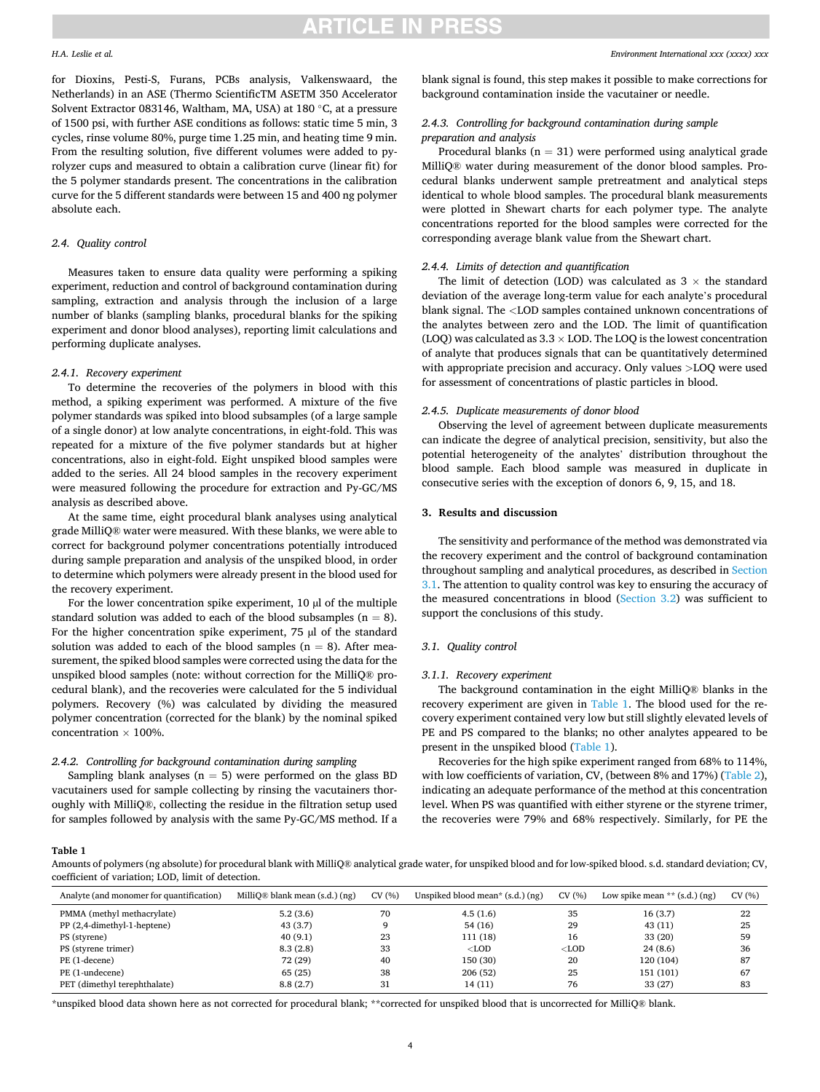## *H.A. Leslie et al.*

for Dioxins, Pesti-S, Furans, PCBs analysis, Valkenswaard, the Netherlands) in an ASE (Thermo ScientificTM ASETM 350 Accelerator Solvent Extractor 083146, Waltham, MA, USA) at 180 ◦C, at a pressure of 1500 psi, with further ASE conditions as follows: static time 5 min, 3 cycles, rinse volume 80%, purge time 1.25 min, and heating time 9 min. From the resulting solution, five different volumes were added to pyrolyzer cups and measured to obtain a calibration curve (linear fit) for the 5 polymer standards present. The concentrations in the calibration curve for the 5 different standards were between 15 and 400 ng polymer absolute each.

#### *2.4. Quality control*

Measures taken to ensure data quality were performing a spiking experiment, reduction and control of background contamination during sampling, extraction and analysis through the inclusion of a large number of blanks (sampling blanks, procedural blanks for the spiking experiment and donor blood analyses), reporting limit calculations and performing duplicate analyses.

## *2.4.1. Recovery experiment*

To determine the recoveries of the polymers in blood with this method, a spiking experiment was performed. A mixture of the five polymer standards was spiked into blood subsamples (of a large sample of a single donor) at low analyte concentrations, in eight-fold. This was repeated for a mixture of the five polymer standards but at higher concentrations, also in eight-fold. Eight unspiked blood samples were added to the series. All 24 blood samples in the recovery experiment were measured following the procedure for extraction and Py-GC/MS analysis as described above.

At the same time, eight procedural blank analyses using analytical grade MilliQ® water were measured. With these blanks, we were able to correct for background polymer concentrations potentially introduced during sample preparation and analysis of the unspiked blood, in order to determine which polymers were already present in the blood used for the recovery experiment.

For the lower concentration spike experiment,  $10 \mu$  of the multiple standard solution was added to each of the blood subsamples ( $n = 8$ ). For the higher concentration spike experiment, 75 µl of the standard solution was added to each of the blood samples ( $n = 8$ ). After measurement, the spiked blood samples were corrected using the data for the unspiked blood samples (note: without correction for the MilliQ® procedural blank), and the recoveries were calculated for the 5 individual polymers. Recovery (%) was calculated by dividing the measured polymer concentration (corrected for the blank) by the nominal spiked concentration  $\times$  100%.

## *2.4.2. Controlling for background contamination during sampling*

Sampling blank analyses ( $n = 5$ ) were performed on the glass BD vacutainers used for sample collecting by rinsing the vacutainers thoroughly with MilliQ®, collecting the residue in the filtration setup used for samples followed by analysis with the same Py-GC/MS method. If a

blank signal is found, this step makes it possible to make corrections for background contamination inside the vacutainer or needle.

## *2.4.3. Controlling for background contamination during sample preparation and analysis*

Procedural blanks ( $n = 31$ ) were performed using analytical grade MilliQ® water during measurement of the donor blood samples. Procedural blanks underwent sample pretreatment and analytical steps identical to whole blood samples. The procedural blank measurements were plotted in Shewart charts for each polymer type. The analyte concentrations reported for the blood samples were corrected for the corresponding average blank value from the Shewart chart.

#### *2.4.4. Limits of detection and quantification*

The limit of detection (LOD) was calculated as  $3 \times$  the standard deviation of the average long-term value for each analyte's procedural blank signal. The *<*LOD samples contained unknown concentrations of the analytes between zero and the LOD. The limit of quantification (LOQ) was calculated as  $3.3 \times$  LOD. The LOQ is the lowest concentration of analyte that produces signals that can be quantitatively determined with appropriate precision and accuracy. Only values *>*LOQ were used for assessment of concentrations of plastic particles in blood.

## *2.4.5. Duplicate measurements of donor blood*

Observing the level of agreement between duplicate measurements can indicate the degree of analytical precision, sensitivity, but also the potential heterogeneity of the analytes' distribution throughout the blood sample. Each blood sample was measured in duplicate in consecutive series with the exception of donors 6, 9, 15, and 18.

## **3. Results and discussion**

The sensitivity and performance of the method was demonstrated via the recovery experiment and the control of background contamination throughout sampling and analytical procedures, as described in Section 3.1. The attention to quality control was key to ensuring the accuracy of the measured concentrations in blood ([Section 3.2](#page-4-0)) was sufficient to support the conclusions of this study.

#### *3.1. Quality control*

#### *3.1.1. Recovery experiment*

The background contamination in the eight MilliQ® blanks in the recovery experiment are given in Table 1. The blood used for the recovery experiment contained very low but still slightly elevated levels of PE and PS compared to the blanks; no other analytes appeared to be present in the unspiked blood (Table 1).

Recoveries for the high spike experiment ranged from 68% to 114%, with low coefficients of variation, CV, (between 8% and 17%) ([Table 2](#page-4-0)), indicating an adequate performance of the method at this concentration level. When PS was quantified with either styrene or the styrene trimer, the recoveries were 79% and 68% respectively. Similarly, for PE the

**Table 1** 

Amounts of polymers (ng absolute) for procedural blank with MilliQ® analytical grade water, for unspiked blood and for low-spiked blood. s.d. standard deviation; CV, coefficient of variation; LOD, limit of detection.

| Analyte (and monomer for quantification) | MilliO <sup>®</sup> blank mean $(s.d.)$ $(ng)$ | CV(%) | Unspiked blood mean* $(s.d.)$ $(ng)$ | CV(%)   | Low spike mean $**$ (s.d.) (ng) | CV(%) |
|------------------------------------------|------------------------------------------------|-------|--------------------------------------|---------|---------------------------------|-------|
| PMMA (methyl methacrylate)               | 5.2(3.6)                                       | 70    | 4.5(1.6)                             | 35      | 16(3.7)                         | 22    |
| PP (2,4-dimethyl-1-heptene)              | 43 (3.7)                                       |       | 54 (16)                              | 29      | 43 (11)                         | 25    |
| PS (styrene)                             | 40(9.1)                                        | 23    | 111 (18)                             | 16      | 33 (20)                         | 59    |
| PS (styrene trimer)                      | 8.3(2.8)                                       | 33    | $<$ LOD                              | $<$ LOD | 24(8.6)                         | 36    |
| PE (1-decene)                            | 72 (29)                                        | 40    | 150 (30)                             | 20      | 120 (104)                       | 87    |
| PE (1-undecene)                          | 65 (25)                                        | 38    | 206(52)                              | 25      | 151 (101)                       | 67    |
| PET (dimethyl terephthalate)             | 8.8(2.7)                                       | 31    | 14 (11)                              | 76      | 33 (27)                         | 83    |

\*unspiked blood data shown here as not corrected for procedural blank; \*\*corrected for unspiked blood that is uncorrected for MilliQ® blank.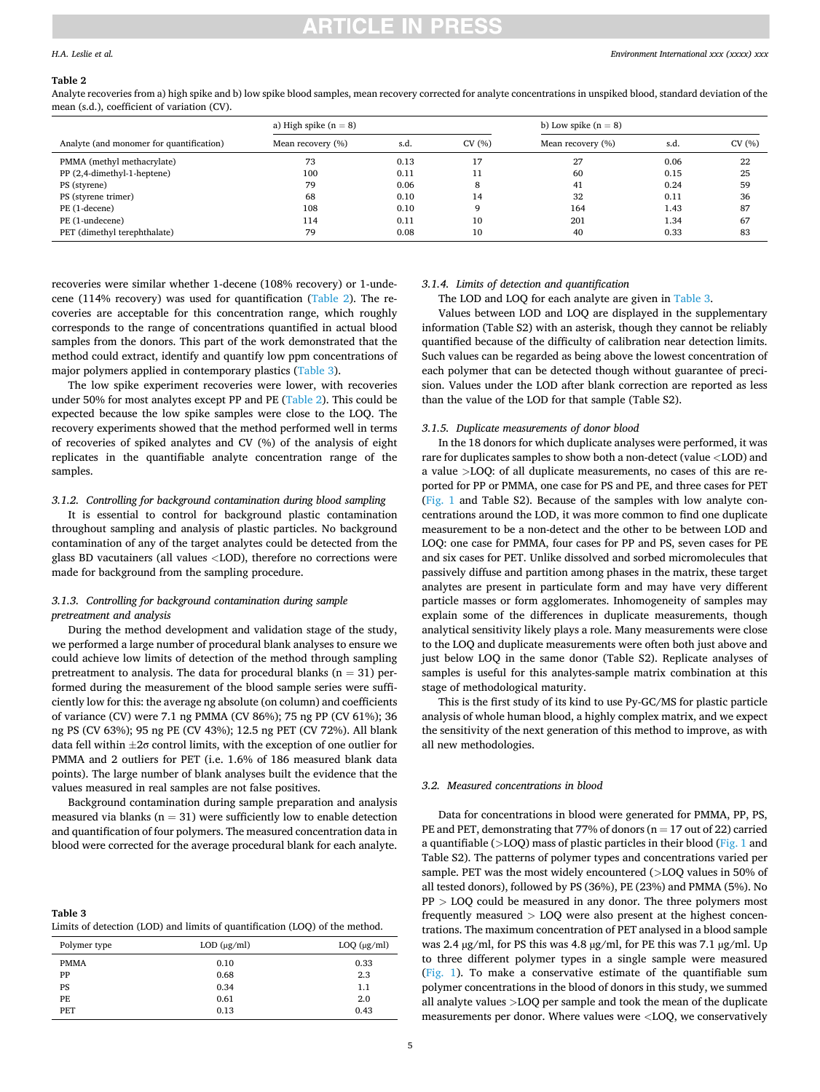# RTICLE IN PRESS

## <span id="page-4-0"></span>*H.A. Leslie et al.*

#### **Table 2**

Analyte recoveries from a) high spike and b) low spike blood samples, mean recovery corrected for analyte concentrations in unspiked blood, standard deviation of the mean (s.d.), coefficient of variation (CV).

|                                          | a) High spike $(n = 8)$ |      |       | b) Low spike $(n = 8)$ |      |       |
|------------------------------------------|-------------------------|------|-------|------------------------|------|-------|
| Analyte (and monomer for quantification) | Mean recovery (%)       | s.d. | CV(%) | Mean recovery (%)      | s.d. | CV(%) |
| PMMA (methyl methacrylate)               | 73                      | 0.13 | 17    | 27                     | 0.06 | 22    |
| PP (2,4-dimethyl-1-heptene)              | 100                     | 0.11 | 11    | 60                     | 0.15 | 25    |
| PS (styrene)                             | 79                      | 0.06 | 8     | 41                     | 0.24 | 59    |
| PS (styrene trimer)                      | 68                      | 0.10 | 14    | 32                     | 0.11 | 36    |
| PE (1-decene)                            | 108                     | 0.10 |       | 164                    | 1.43 | 87    |
| PE (1-undecene)                          | 114                     | 0.11 | 10    | 201                    | 1.34 | 67    |
| PET (dimethyl terephthalate)             | 79                      | 0.08 | 10    | 40                     | 0.33 | 83    |

recoveries were similar whether 1-decene (108% recovery) or 1-undecene (114% recovery) was used for quantification (Table 2). The recoveries are acceptable for this concentration range, which roughly corresponds to the range of concentrations quantified in actual blood samples from the donors. This part of the work demonstrated that the method could extract, identify and quantify low ppm concentrations of major polymers applied in contemporary plastics (Table 3).

The low spike experiment recoveries were lower, with recoveries under 50% for most analytes except PP and PE (Table 2). This could be expected because the low spike samples were close to the LOQ. The recovery experiments showed that the method performed well in terms of recoveries of spiked analytes and CV (%) of the analysis of eight replicates in the quantifiable analyte concentration range of the samples.

#### *3.1.2. Controlling for background contamination during blood sampling*

It is essential to control for background plastic contamination throughout sampling and analysis of plastic particles. No background contamination of any of the target analytes could be detected from the glass BD vacutainers (all values *<*LOD), therefore no corrections were made for background from the sampling procedure.

## *3.1.3. Controlling for background contamination during sample pretreatment and analysis*

During the method development and validation stage of the study, we performed a large number of procedural blank analyses to ensure we could achieve low limits of detection of the method through sampling pretreatment to analysis. The data for procedural blanks  $(n = 31)$  performed during the measurement of the blood sample series were sufficiently low for this: the average ng absolute (on column) and coefficients of variance (CV) were 7.1 ng PMMA (CV 86%); 75 ng PP (CV 61%); 36 ng PS (CV 63%); 95 ng PE (CV 43%); 12.5 ng PET (CV 72%). All blank data fell within ±2σ control limits, with the exception of one outlier for PMMA and 2 outliers for PET (i.e. 1.6% of 186 measured blank data points). The large number of blank analyses built the evidence that the values measured in real samples are not false positives.

Background contamination during sample preparation and analysis measured via blanks ( $n = 31$ ) were sufficiently low to enable detection and quantification of four polymers. The measured concentration data in blood were corrected for the average procedural blank for each analyte.

| Table 3                                                                     |
|-----------------------------------------------------------------------------|
| Limits of detection (LOD) and limits of quantification (LOO) of the method. |

| Polymer type | $LOD$ ( $\mu$ g/ml) | $LOQ$ ( $\mu$ g/ml) |
|--------------|---------------------|---------------------|
| <b>PMMA</b>  | 0.10                | 0.33                |
| PP           | 0.68                | 2.3                 |
| PS           | 0.34                | 1.1                 |
| PE           | 0.61                | 2.0                 |
| <b>PET</b>   | 0.13                | 0.43                |

## *3.1.4. Limits of detection and quantification*

The LOD and LOQ for each analyte are given in Table 3.

Values between LOD and LOQ are displayed in the supplementary information (Table S2) with an asterisk, though they cannot be reliably quantified because of the difficulty of calibration near detection limits. Such values can be regarded as being above the lowest concentration of each polymer that can be detected though without guarantee of precision. Values under the LOD after blank correction are reported as less than the value of the LOD for that sample (Table S2).

#### *3.1.5. Duplicate measurements of donor blood*

In the 18 donors for which duplicate analyses were performed, it was rare for duplicates samples to show both a non-detect (value *<*LOD) and a value *>*LOQ: of all duplicate measurements, no cases of this are reported for PP or PMMA, one case for PS and PE, and three cases for PET ([Fig. 1](#page-5-0) and Table S2). Because of the samples with low analyte concentrations around the LOD, it was more common to find one duplicate measurement to be a non-detect and the other to be between LOD and LOQ: one case for PMMA, four cases for PP and PS, seven cases for PE and six cases for PET. Unlike dissolved and sorbed micromolecules that passively diffuse and partition among phases in the matrix, these target analytes are present in particulate form and may have very different particle masses or form agglomerates. Inhomogeneity of samples may explain some of the differences in duplicate measurements, though analytical sensitivity likely plays a role. Many measurements were close to the LOQ and duplicate measurements were often both just above and just below LOQ in the same donor (Table S2). Replicate analyses of samples is useful for this analytes-sample matrix combination at this stage of methodological maturity.

This is the first study of its kind to use Py-GC/MS for plastic particle analysis of whole human blood, a highly complex matrix, and we expect the sensitivity of the next generation of this method to improve, as with all new methodologies.

#### *3.2. Measured concentrations in blood*

Data for concentrations in blood were generated for PMMA, PP, PS, PE and PET, demonstrating that 77% of donors ( $n = 17$  out of 22) carried a quantifiable (*>*LOQ) mass of plastic particles in their blood [\(Fig. 1](#page-5-0) and Table S2). The patterns of polymer types and concentrations varied per sample. PET was the most widely encountered (*>*LOQ values in 50% of all tested donors), followed by PS (36%), PE (23%) and PMMA (5%). No PP *>* LOQ could be measured in any donor. The three polymers most frequently measured *>* LOQ were also present at the highest concentrations. The maximum concentration of PET analysed in a blood sample was 2.4 µg/ml, for PS this was 4.8 µg/ml, for PE this was 7.1 µg/ml. Up to three different polymer types in a single sample were measured ([Fig. 1\)](#page-5-0). To make a conservative estimate of the quantifiable sum polymer concentrations in the blood of donors in this study, we summed all analyte values *>*LOQ per sample and took the mean of the duplicate measurements per donor. Where values were *<*LOQ, we conservatively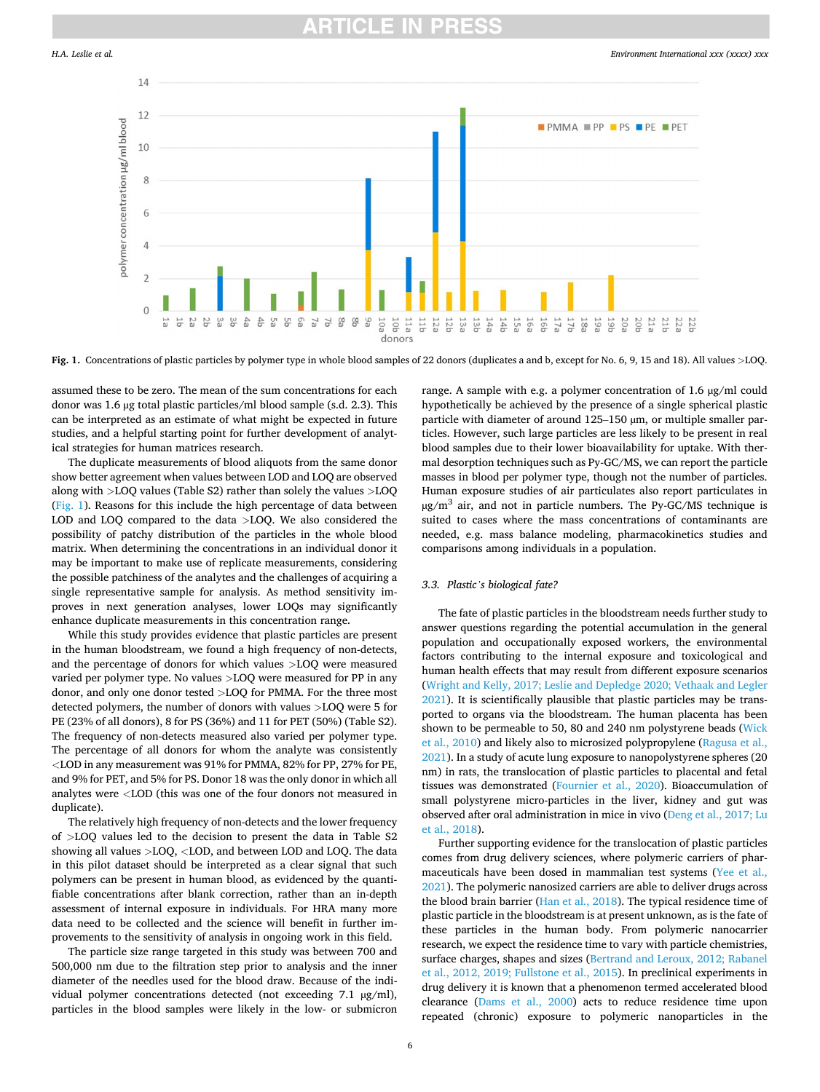## TICI E IN

<span id="page-5-0"></span>

**Fig. 1.** Concentrations of plastic particles by polymer type in whole blood samples of 22 donors (duplicates a and b, except for No. 6, 9, 15 and 18). All values *>*LOQ.

assumed these to be zero. The mean of the sum concentrations for each donor was 1.6 µg total plastic particles/ml blood sample (s.d. 2.3). This can be interpreted as an estimate of what might be expected in future studies, and a helpful starting point for further development of analytical strategies for human matrices research.

The duplicate measurements of blood aliquots from the same donor show better agreement when values between LOD and LOQ are observed along with *>*LOQ values (Table S2) rather than solely the values *>*LOQ (Fig. 1). Reasons for this include the high percentage of data between LOD and LOQ compared to the data *>*LOQ. We also considered the possibility of patchy distribution of the particles in the whole blood matrix. When determining the concentrations in an individual donor it may be important to make use of replicate measurements, considering the possible patchiness of the analytes and the challenges of acquiring a single representative sample for analysis. As method sensitivity improves in next generation analyses, lower LOQs may significantly enhance duplicate measurements in this concentration range.

While this study provides evidence that plastic particles are present in the human bloodstream, we found a high frequency of non-detects, and the percentage of donors for which values *>*LOQ were measured varied per polymer type. No values *>*LOQ were measured for PP in any donor, and only one donor tested *>*LOQ for PMMA. For the three most detected polymers, the number of donors with values *>*LOQ were 5 for PE (23% of all donors), 8 for PS (36%) and 11 for PET (50%) (Table S2). The frequency of non-detects measured also varied per polymer type. The percentage of all donors for whom the analyte was consistently *<*LOD in any measurement was 91% for PMMA, 82% for PP, 27% for PE, and 9% for PET, and 5% for PS. Donor 18 was the only donor in which all analytes were *<*LOD (this was one of the four donors not measured in duplicate).

The relatively high frequency of non-detects and the lower frequency of *>*LOQ values led to the decision to present the data in Table S2 showing all values *>*LOQ, *<*LOD, and between LOD and LOQ. The data in this pilot dataset should be interpreted as a clear signal that such polymers can be present in human blood, as evidenced by the quantifiable concentrations after blank correction, rather than an in-depth assessment of internal exposure in individuals. For HRA many more data need to be collected and the science will benefit in further improvements to the sensitivity of analysis in ongoing work in this field.

The particle size range targeted in this study was between 700 and 500,000 nm due to the filtration step prior to analysis and the inner diameter of the needles used for the blood draw. Because of the individual polymer concentrations detected (not exceeding 7.1 µg/ml), particles in the blood samples were likely in the low- or submicron range. A sample with e.g. a polymer concentration of 1.6 µg/ml could hypothetically be achieved by the presence of a single spherical plastic particle with diameter of around 125–150 µm, or multiple smaller particles. However, such large particles are less likely to be present in real blood samples due to their lower bioavailability for uptake. With thermal desorption techniques such as Py-GC/MS, we can report the particle masses in blood per polymer type, though not the number of particles. Human exposure studies of air particulates also report particulates in  $\mu$ g/m<sup>3</sup> air, and not in particle numbers. The Py-GC/MS technique is suited to cases where the mass concentrations of contaminants are needed, e.g. mass balance modeling, pharmacokinetics studies and comparisons among individuals in a population.

## *3.3. Plastic's biological fate?*

The fate of plastic particles in the bloodstream needs further study to answer questions regarding the potential accumulation in the general population and occupationally exposed workers, the environmental factors contributing to the internal exposure and toxicological and human health effects that may result from different exposure scenarios ([Wright and Kelly, 2017; Leslie and Depledge 2020; Vethaak and Legler](#page-7-0)  [2021\)](#page-7-0). It is scientifically plausible that plastic particles may be transported to organs via the bloodstream. The human placenta has been shown to be permeable to 50, 80 and 240 nm polystyrene beads ([Wick](#page-7-0)  [et al., 2010\)](#page-7-0) and likely also to microsized polypropylene ([Ragusa et al.,](#page-7-0)  [2021\)](#page-7-0). In a study of acute lung exposure to nanopolystyrene spheres (20 nm) in rats, the translocation of plastic particles to placental and fetal tissues was demonstrated [\(Fournier et al., 2020\)](#page-6-0). Bioaccumulation of small polystyrene micro-particles in the liver, kidney and gut was observed after oral administration in mice in vivo [\(Deng et al., 2017; Lu](#page-6-0)  [et al., 2018\)](#page-6-0).

Further supporting evidence for the translocation of plastic particles comes from drug delivery sciences, where polymeric carriers of pharmaceuticals have been dosed in mammalian test systems ([Yee et al.,](#page-7-0)  [2021\)](#page-7-0). The polymeric nanosized carriers are able to deliver drugs across the blood brain barrier [\(Han et al., 2018\)](#page-6-0). The typical residence time of plastic particle in the bloodstream is at present unknown, as is the fate of these particles in the human body. From polymeric nanocarrier research, we expect the residence time to vary with particle chemistries, surface charges, shapes and sizes ([Bertrand and Leroux, 2012; Rabanel](#page-6-0)  [et al., 2012, 2019; Fullstone et al., 2015\)](#page-6-0). In preclinical experiments in drug delivery it is known that a phenomenon termed accelerated blood clearance ([Dams et al., 2000](#page-6-0)) acts to reduce residence time upon repeated (chronic) exposure to polymeric nanoparticles in the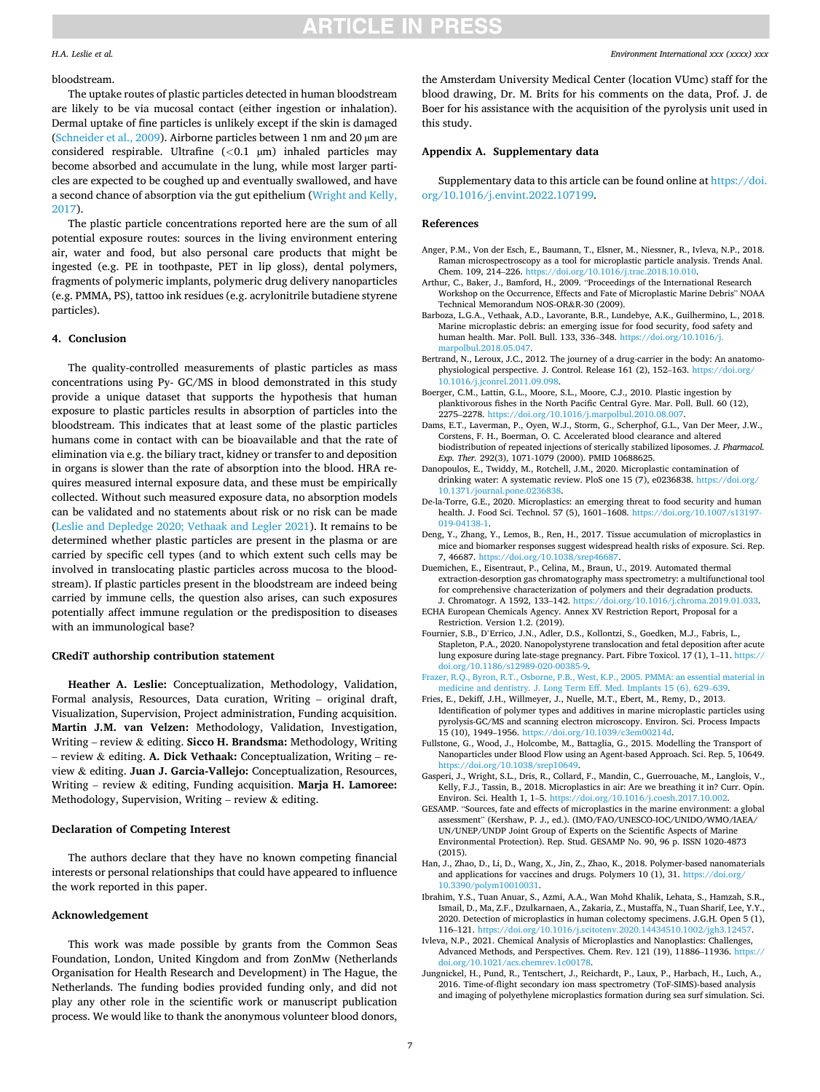# **ARTICLE IN PRESS**

## <span id="page-6-0"></span>*H.A. Leslie et al.*

#### bloodstream.

The uptake routes of plastic particles detected in human bloodstream are likely to be via mucosal contact (either ingestion or inhalation). Dermal uptake of fine particles is unlikely except if the skin is damaged ([Schneider et al., 2009](#page-7-0)). Airborne particles between 1 nm and 20 µm are considered respirable. Ultrafine (*<*0.1 µm) inhaled particles may become absorbed and accumulate in the lung, while most larger particles are expected to be coughed up and eventually swallowed, and have a second chance of absorption via the gut epithelium [\(Wright and Kelly,](#page-7-0)  [2017\)](#page-7-0).

The plastic particle concentrations reported here are the sum of all potential exposure routes: sources in the living environment entering air, water and food, but also personal care products that might be ingested (e.g. PE in toothpaste, PET in lip gloss), dental polymers, fragments of polymeric implants, polymeric drug delivery nanoparticles (e.g. PMMA, PS), tattoo ink residues (e.g. acrylonitrile butadiene styrene particles).

## **4. Conclusion**

The quality-controlled measurements of plastic particles as mass concentrations using Py- GC/MS in blood demonstrated in this study provide a unique dataset that supports the hypothesis that human exposure to plastic particles results in absorption of particles into the bloodstream. This indicates that at least some of the plastic particles humans come in contact with can be bioavailable and that the rate of elimination via e.g. the biliary tract, kidney or transfer to and deposition in organs is slower than the rate of absorption into the blood. HRA requires measured internal exposure data, and these must be empirically collected. Without such measured exposure data, no absorption models can be validated and no statements about risk or no risk can be made ([Leslie and Depledge 2020; Vethaak and Legler 2021](#page-7-0)). It remains to be determined whether plastic particles are present in the plasma or are carried by specific cell types (and to which extent such cells may be involved in translocating plastic particles across mucosa to the bloodstream). If plastic particles present in the bloodstream are indeed being carried by immune cells, the question also arises, can such exposures potentially affect immune regulation or the predisposition to diseases with an immunological base?

## **CRediT authorship contribution statement**

**Heather A. Leslie:** Conceptualization, Methodology, Validation, Formal analysis, Resources, Data curation, Writing – original draft, Visualization, Supervision, Project administration, Funding acquisition. **Martin J.M. van Velzen:** Methodology, Validation, Investigation, Writing – review & editing. **Sicco H. Brandsma:** Methodology, Writing – review & editing. **A. Dick Vethaak:** Conceptualization, Writing – review & editing. **Juan J. Garcia-Vallejo:** Conceptualization, Resources, Writing – review & editing, Funding acquisition. **Marja H. Lamoree:**  Methodology, Supervision, Writing – review  $\&$  editing.

## **Declaration of Competing Interest**

The authors declare that they have no known competing financial interests or personal relationships that could have appeared to influence the work reported in this paper.

#### **Acknowledgement**

This work was made possible by grants from the Common Seas Foundation, London, United Kingdom and from ZonMw (Netherlands Organisation for Health Research and Development) in The Hague, the Netherlands. The funding bodies provided funding only, and did not play any other role in the scientific work or manuscript publication process. We would like to thank the anonymous volunteer blood donors,

the Amsterdam University Medical Center (location VUmc) staff for the blood drawing, Dr. M. Brits for his comments on the data, Prof. J. de Boer for his assistance with the acquisition of the pyrolysis unit used in this study.

## **Appendix A. Supplementary data**

Supplementary data to this article can be found online at [https://doi.](https://doi.org/10.1016/j.envint.2022.107199)  [org/10.1016/j.envint.2022.107199](https://doi.org/10.1016/j.envint.2022.107199).

## **References**

- Anger, P.M., Von der Esch, E., Baumann, T., Elsner, M., Niessner, R., Ivleva, N.P., 2018. Raman microspectroscopy as a tool for microplastic particle analysis. Trends Anal. Chem. 109, 214–226. [https://doi.org/10.1016/j.trac.2018.10.010.](https://doi.org/10.1016/j.trac.2018.10.010)
- Arthur, C., Baker, J., Bamford, H., 2009. "Proceedings of the International Research Workshop on the Occurrence, Effects and Fate of Microplastic Marine Debris" NOAA Technical Memorandum NOS-OR&R-30 (2009).
- Barboza, L.G.A., Vethaak, A.D., Lavorante, B.R., Lundebye, A.K., Guilhermino, L., 2018. Marine microplastic debris: an emerging issue for food security, food safety and human health. Mar. Poll. Bull. 133, 336–348. [https://doi.org/10.1016/j.](https://doi.org/10.1016/j.marpolbul.2018.05.047)  [marpolbul.2018.05.047](https://doi.org/10.1016/j.marpolbul.2018.05.047).
- Bertrand, N., Leroux, J.C., 2012. The journey of a drug-carrier in the body: An anatomophysiological perspective. J. Control. Release 161 (2), 152–163. [https://doi.org/](https://doi.org/10.1016/j.jconrel.2011.09.098) [10.1016/j.jconrel.2011.09.098.](https://doi.org/10.1016/j.jconrel.2011.09.098)
- Boerger, C.M., Lattin, G.L., Moore, S.L., Moore, C.J., 2010. Plastic ingestion by planktivorous fishes in the North Pacific Central Gyre. Mar. Poll. Bull. 60 (12), 2275–2278. [https://doi.org/10.1016/j.marpolbul.2010.08.007.](https://doi.org/10.1016/j.marpolbul.2010.08.007)
- Dams, E.T., Laverman, P., Oyen, W.J., Storm, G., Scherphof, G.L., Van Der Meer, J.W., Corstens, F. H., Boerman, O. C. Accelerated blood clearance and altered biodistribution of repeated injections of sterically stabilized liposomes. *J. Pharmacol. Exp. Ther.* 292(3), 1071-1079 (2000). PMID 10688625.
- Danopoulos, E., Twiddy, M., Rotchell, J.M., 2020. Microplastic contamination of drinking water: A systematic review. PloS one 15 (7), e0236838. [https://doi.org/](https://doi.org/10.1371/journal.pone.0236838) [10.1371/journal.pone.0236838.](https://doi.org/10.1371/journal.pone.0236838)
- De-la-Torre, G.E., 2020. Microplastics: an emerging threat to food security and human health. J. Food Sci. Technol. 57 (5), 1601–1608. [https://doi.org/10.1007/s13197-](https://doi.org/10.1007/s13197-019-04138-1)  [019-04138-1.](https://doi.org/10.1007/s13197-019-04138-1)
- Deng, Y., Zhang, Y., Lemos, B., Ren, H., 2017. Tissue accumulation of microplastics in mice and biomarker responses suggest widespread health risks of exposure. Sci. Rep. 7, 46687. <https://doi.org/10.1038/srep46687>.
- Duemichen, E., Eisentraut, P., Celina, M., Braun, U., 2019. Automated thermal extraction-desorption gas chromatography mass spectrometry: a multifunctional tool for comprehensive characterization of polymers and their degradation products. J. Chromatogr. A 1592, 133–142. [https://doi.org/10.1016/j.chroma.2019.01.033.](https://doi.org/10.1016/j.chroma.2019.01.033)
- ECHA European Chemicals Agency. Annex XV Restriction Report, Proposal for a Restriction. Version 1.2. (2019).
- Fournier, S.B., D'Errico, J.N., Adler, D.S., Kollontzi, S., Goedken, M.J., Fabris, L., Stapleton, P.A., 2020. Nanopolystyrene translocation and fetal deposition after acute lung exposure during late-stage pregnancy. Part. Fibre Toxicol. 17 (1), 1–11. [https://](https://doi.org/10.1186/s12989-020-00385-9)  [doi.org/10.1186/s12989-020-00385-9](https://doi.org/10.1186/s12989-020-00385-9).
- [Frazer, R.Q., Byron, R.T., Osborne, P.B., West, K.P., 2005. PMMA: an essential material in](http://refhub.elsevier.com/S0160-4120(22)00125-8/h0065)  [medicine and dentistry. J. Long Term Eff. Med. Implants 15 \(6\), 629](http://refhub.elsevier.com/S0160-4120(22)00125-8/h0065)–639.
- Fries, E., Dekiff, J.H., Willmeyer, J., Nuelle, M.T., Ebert, M., Remy, D., 2013. Identification of polymer types and additives in marine microplastic particles using pyrolysis-GC/MS and scanning electron microscopy. Environ. Sci. Process Impacts 15 (10), 1949–1956. [https://doi.org/10.1039/c3em00214d.](https://doi.org/10.1039/c3em00214d)
- Fullstone, G., Wood, J., Holcombe, M., Battaglia, G., 2015. Modelling the Transport of Nanoparticles under Blood Flow using an Agent-based Approach. Sci. Rep. 5, 10649. <https://doi.org/10.1038/srep10649>.
- Gasperi, J., Wright, S.L., Dris, R., Collard, F., Mandin, C., Guerrouache, M., Langlois, V., Kelly, F.J., Tassin, B., 2018. Microplastics in air: Are we breathing it in? Curr. Opin. Environ. Sci. Health 1, 1–5. <https://doi.org/10.1016/j.coesh.2017.10.002>.
- GESAMP. "Sources, fate and effects of microplastics in the marine environment: a global assessment" (Kershaw, P. J., ed.). (IMO/FAO/UNESCO-IOC/UNIDO/WMO/IAEA/ UN/UNEP/UNDP Joint Group of Experts on the Scientific Aspects of Marine Environmental Protection). Rep. Stud. GESAMP No. 90, 96 p. ISSN 1020-4873 (2015).
- Han, J., Zhao, D., Li, D., Wang, X., Jin, Z., Zhao, K., 2018. Polymer-based nanomaterials and applications for vaccines and drugs. Polymers 10 (1), 31. https://doi.org/ [10.3390/polym10010031](https://doi.org/10.3390/polym10010031).
- Ibrahim, Y.S., Tuan Anuar, S., Azmi, A.A., Wan Mohd Khalik, Lehata, S., Hamzah, S.R., Ismail, D., Ma, Z.F., Dzulkarnaen, A., Zakaria, Z., Mustaffa, N., Tuan Sharif, Lee, Y.Y., 2020. Detection of microplastics in human colectomy specimens. J.G.H. Open 5 (1), 116–121. <https://doi.org/10.1016/j.scitotenv.2020.14434510.1002/jgh3.12457>.
- Ivleva, N.P., 2021. Chemical Analysis of Microplastics and Nanoplastics: Challenges, Advanced Methods, and Perspectives. Chem. Rev. 121 (19), 11886–11936. [https://](https://doi.org/10.1021/acs.chemrev.1c00178)  [doi.org/10.1021/acs.chemrev.1c00178](https://doi.org/10.1021/acs.chemrev.1c00178).
- Jungnickel, H., Pund, R., Tentschert, J., Reichardt, P., Laux, P., Harbach, H., Luch, A., 2016. Time-of-flight secondary ion mass spectrometry (ToF-SIMS)-based analysis and imaging of polyethylene microplastics formation during sea surf simulation. Sci.